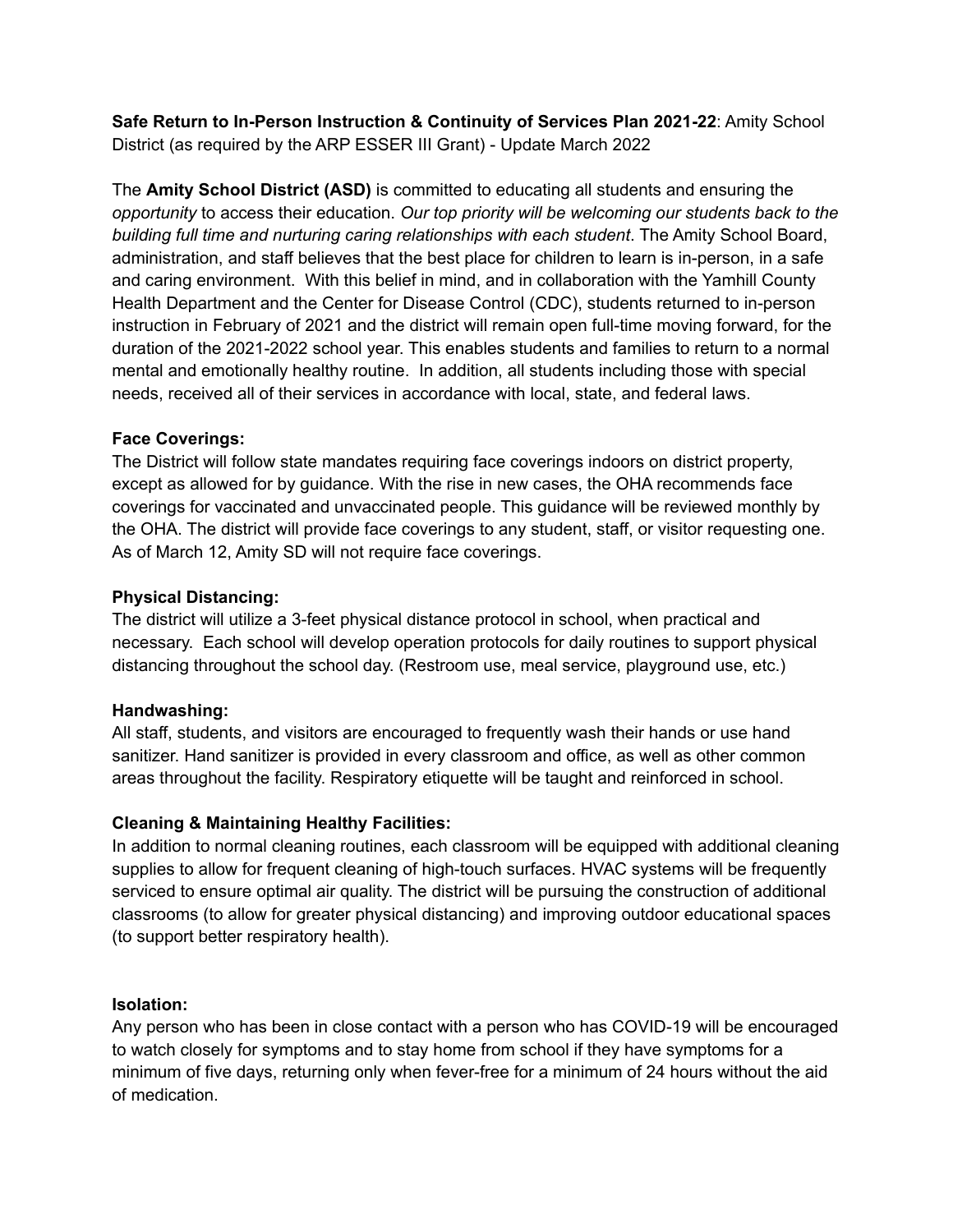**Safe Return to In-Person Instruction & Continuity of Services Plan 2021-22**: Amity School District (as required by the ARP ESSER III Grant) - Update March 2022

The **Amity School District (ASD)** is committed to educating all students and ensuring the *opportunity* to access their education. *Our top priority will be welcoming our students back to the building full time and nurturing caring relationships with each student*. The Amity School Board, administration, and staff believes that the best place for children to learn is in-person, in a safe and caring environment. With this belief in mind, and in collaboration with the Yamhill County Health Department and the Center for Disease Control (CDC), students returned to in-person instruction in February of 2021 and the district will remain open full-time moving forward, for the duration of the 2021-2022 school year. This enables students and families to return to a normal mental and emotionally healthy routine. In addition, all students including those with special needs, received all of their services in accordance with local, state, and federal laws.

# **Face Coverings:**

The District will follow state mandates requiring face coverings indoors on district property, except as allowed for by guidance. With the rise in new cases, the OHA recommends face coverings for vaccinated and unvaccinated people. This guidance will be reviewed monthly by the OHA. The district will provide face coverings to any student, staff, or visitor requesting one. As of March 12, Amity SD will not require face coverings.

# **Physical Distancing:**

The district will utilize a 3-feet physical distance protocol in school, when practical and necessary. Each school will develop operation protocols for daily routines to support physical distancing throughout the school day. (Restroom use, meal service, playground use, etc.)

# **Handwashing:**

All staff, students, and visitors are encouraged to frequently wash their hands or use hand sanitizer. Hand sanitizer is provided in every classroom and office, as well as other common areas throughout the facility. Respiratory etiquette will be taught and reinforced in school.

# **Cleaning & Maintaining Healthy Facilities:**

In addition to normal cleaning routines, each classroom will be equipped with additional cleaning supplies to allow for frequent cleaning of high-touch surfaces. HVAC systems will be frequently serviced to ensure optimal air quality. The district will be pursuing the construction of additional classrooms (to allow for greater physical distancing) and improving outdoor educational spaces (to support better respiratory health).

# **Isolation:**

Any person who has been in close contact with a person who has COVID-19 will be encouraged to watch closely for symptoms and to stay home from school if they have symptoms for a minimum of five days, returning only when fever-free for a minimum of 24 hours without the aid of medication.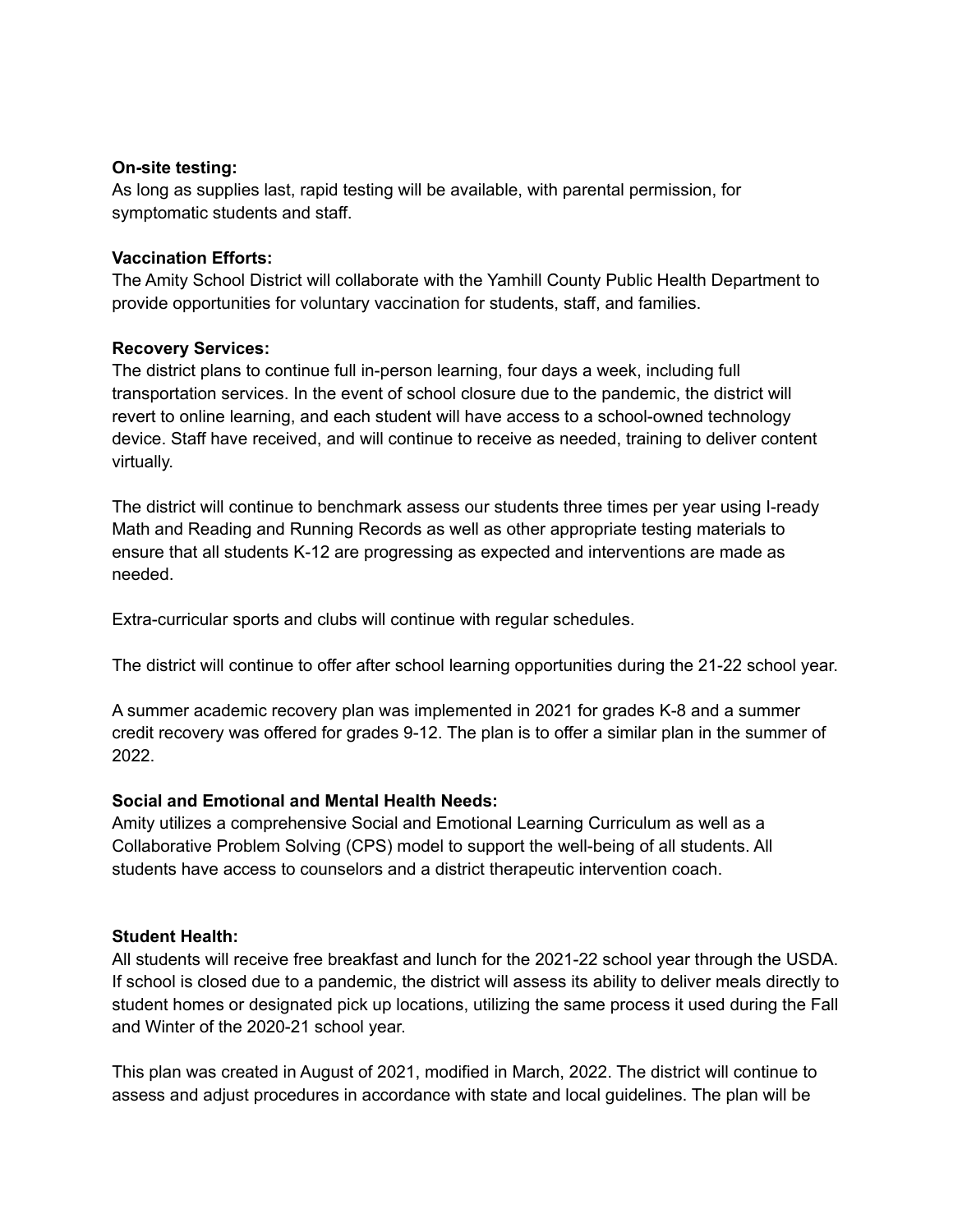#### **On-site testing:**

As long as supplies last, rapid testing will be available, with parental permission, for symptomatic students and staff.

#### **Vaccination Efforts:**

The Amity School District will collaborate with the Yamhill County Public Health Department to provide opportunities for voluntary vaccination for students, staff, and families.

#### **Recovery Services:**

The district plans to continue full in-person learning, four days a week, including full transportation services. In the event of school closure due to the pandemic, the district will revert to online learning, and each student will have access to a school-owned technology device. Staff have received, and will continue to receive as needed, training to deliver content virtually.

The district will continue to benchmark assess our students three times per year using I-ready Math and Reading and Running Records as well as other appropriate testing materials to ensure that all students K-12 are progressing as expected and interventions are made as needed.

Extra-curricular sports and clubs will continue with regular schedules.

The district will continue to offer after school learning opportunities during the 21-22 school year.

A summer academic recovery plan was implemented in 2021 for grades K-8 and a summer credit recovery was offered for grades 9-12. The plan is to offer a similar plan in the summer of 2022.

# **Social and Emotional and Mental Health Needs:**

Amity utilizes a comprehensive Social and Emotional Learning Curriculum as well as a Collaborative Problem Solving (CPS) model to support the well-being of all students. All students have access to counselors and a district therapeutic intervention coach.

# **Student Health:**

All students will receive free breakfast and lunch for the 2021-22 school year through the USDA. If school is closed due to a pandemic, the district will assess its ability to deliver meals directly to student homes or designated pick up locations, utilizing the same process it used during the Fall and Winter of the 2020-21 school year.

This plan was created in August of 2021, modified in March, 2022. The district will continue to assess and adjust procedures in accordance with state and local guidelines. The plan will be